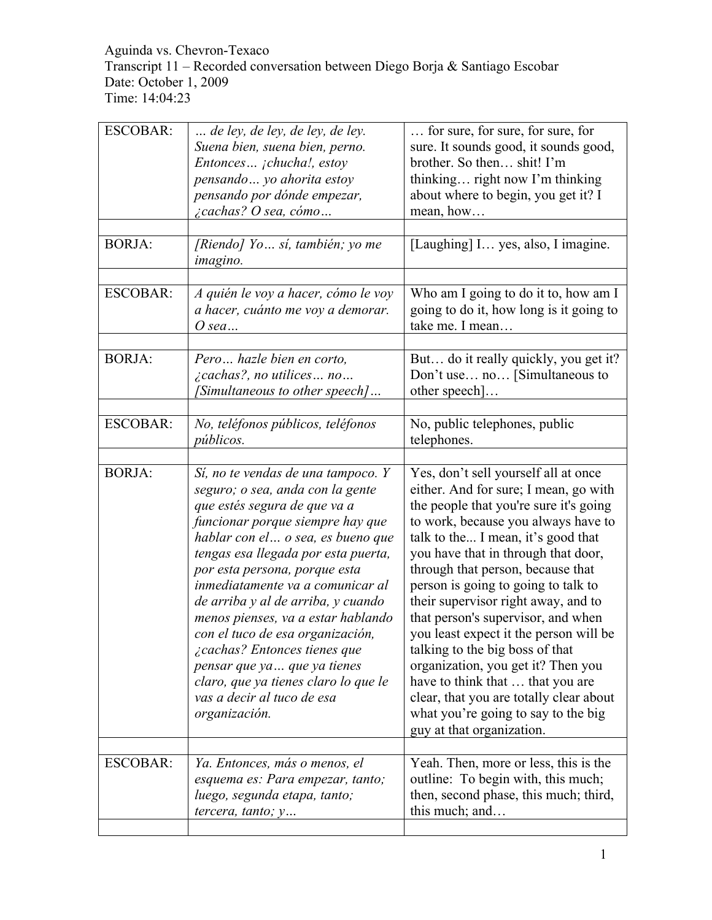#### Aguinda vs. Chevron-Texaco Transcript 11 – Recorded conversation between Diego Borja & Santiago Escobar Date: October 1, 2009 Time: 14:04:23

| <b>ESCOBAR:</b><br><b>BORJA:</b> | de ley, de ley, de ley, de ley.<br>Suena bien, suena bien, perno.<br>Entonces jchucha!, estoy<br>pensando  yo ahorita estoy<br>pensando por dónde empezar,<br><i>i</i> cachas? O sea, cómo<br>[Riendo] Yo sí, también; yo me<br>imagino.                                                                                                                                                                                                                                                                                                                           | for sure, for sure, for sure, for<br>sure. It sounds good, it sounds good,<br>brother. So then shit! I'm<br>thinking right now I'm thinking<br>about where to begin, you get it? I<br>mean, how<br>[Laughing] I yes, also, I imagine.                                                                                                                                                                                                                                                                                                                                                                                                                                      |
|----------------------------------|--------------------------------------------------------------------------------------------------------------------------------------------------------------------------------------------------------------------------------------------------------------------------------------------------------------------------------------------------------------------------------------------------------------------------------------------------------------------------------------------------------------------------------------------------------------------|----------------------------------------------------------------------------------------------------------------------------------------------------------------------------------------------------------------------------------------------------------------------------------------------------------------------------------------------------------------------------------------------------------------------------------------------------------------------------------------------------------------------------------------------------------------------------------------------------------------------------------------------------------------------------|
| <b>ESCOBAR:</b>                  | A quién le voy a hacer, cómo le voy<br>a hacer, cuánto me voy a demorar.<br>$O$ sea                                                                                                                                                                                                                                                                                                                                                                                                                                                                                | Who am I going to do it to, how am I<br>going to do it, how long is it going to<br>take me. I mean                                                                                                                                                                                                                                                                                                                                                                                                                                                                                                                                                                         |
| <b>BORJA:</b>                    | Pero hazle bien en corto,<br>$\zeta$ cachas?, no utilices no<br>[Simultaneous to other speech]                                                                                                                                                                                                                                                                                                                                                                                                                                                                     | But do it really quickly, you get it?<br>Don't use no [Simultaneous to<br>other speech]                                                                                                                                                                                                                                                                                                                                                                                                                                                                                                                                                                                    |
| <b>ESCOBAR:</b>                  | No, teléfonos públicos, teléfonos<br><i>públicos.</i>                                                                                                                                                                                                                                                                                                                                                                                                                                                                                                              | No, public telephones, public<br>telephones.                                                                                                                                                                                                                                                                                                                                                                                                                                                                                                                                                                                                                               |
| <b>BORJA:</b>                    | Sí, no te vendas de una tampoco. Y<br>seguro; o sea, anda con la gente<br>que estés segura de que va a<br>funcionar porque siempre hay que<br>hablar con el o sea, es bueno que<br>tengas esa llegada por esta puerta,<br>por esta persona, porque esta<br>inmediatamente va a comunicar al<br>de arriba y al de arriba, y cuando<br>menos pienses, va a estar hablando<br>con el tuco de esa organización,<br>¿cachas? Entonces tienes que<br>pensar que ya  que ya tienes<br>claro, que ya tienes claro lo que le<br>vas a decir al tuco de esa<br>organización. | Yes, don't sell yourself all at once<br>either. And for sure; I mean, go with<br>the people that you're sure it's going<br>to work, because you always have to<br>talk to the I mean, it's good that<br>you have that in through that door,<br>through that person, because that<br>person is going to going to talk to<br>their supervisor right away, and to<br>that person's supervisor, and when<br>you least expect it the person will be<br>talking to the big boss of that<br>organization, you get it? Then you<br>have to think that  that you are<br>clear, that you are totally clear about<br>what you're going to say to the big<br>guy at that organization. |
| <b>ESCOBAR:</b>                  | Ya. Entonces, más o menos, el<br>esquema es: Para empezar, tanto;<br>luego, segunda etapa, tanto;<br>tercera, tanto; y                                                                                                                                                                                                                                                                                                                                                                                                                                             | Yeah. Then, more or less, this is the<br>outline: To begin with, this much;<br>then, second phase, this much; third,<br>this much; and                                                                                                                                                                                                                                                                                                                                                                                                                                                                                                                                     |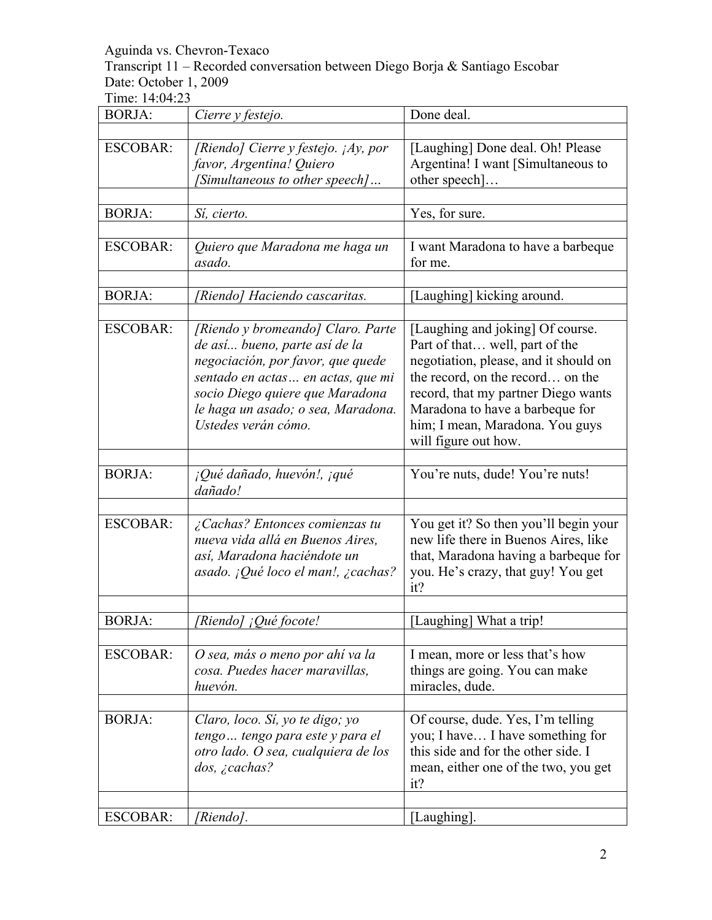Transcript 11 – Recorded conversation between Diego Borja & Santiago Escobar Date: October 1, 2009

| <b>BORJA:</b>   | Cierre y festejo.                                                                                                                                                                                                                            | Done deal.                                                                                                                                                                                                                                                                           |
|-----------------|----------------------------------------------------------------------------------------------------------------------------------------------------------------------------------------------------------------------------------------------|--------------------------------------------------------------------------------------------------------------------------------------------------------------------------------------------------------------------------------------------------------------------------------------|
| <b>ESCOBAR:</b> | [Riendo] Cierre y festejo. ¡Ay, por<br>favor, Argentina! Quiero<br>[Simultaneous to other speech]                                                                                                                                            | [Laughing] Done deal. Oh! Please<br>Argentina! I want [Simultaneous to<br>other speech]                                                                                                                                                                                              |
| <b>BORJA:</b>   | Sí, cierto.                                                                                                                                                                                                                                  | Yes, for sure.                                                                                                                                                                                                                                                                       |
| <b>ESCOBAR:</b> | Quiero que Maradona me haga un<br>asado.                                                                                                                                                                                                     | I want Maradona to have a barbeque<br>for me.                                                                                                                                                                                                                                        |
| <b>BORJA:</b>   | [Riendo] Haciendo cascaritas.                                                                                                                                                                                                                | [Laughing] kicking around.                                                                                                                                                                                                                                                           |
| <b>ESCOBAR:</b> | [Riendo y bromeando] Claro. Parte<br>de así bueno, parte así de la<br>negociación, por favor, que quede<br>sentado en actas en actas, que mi<br>socio Diego quiere que Maradona<br>le haga un asado; o sea, Maradona.<br>Ustedes verán cómo. | [Laughing and joking] Of course.<br>Part of that well, part of the<br>negotiation, please, and it should on<br>the record, on the record on the<br>record, that my partner Diego wants<br>Maradona to have a barbeque for<br>him; I mean, Maradona. You guys<br>will figure out how. |
| <b>BORJA:</b>   | ¡Qué dañado, huevón!, ¡qué<br>dañado!                                                                                                                                                                                                        | You're nuts, dude! You're nuts!                                                                                                                                                                                                                                                      |
| <b>ESCOBAR:</b> | ¿Cachas? Entonces comienzas tu<br>nueva vida allá en Buenos Aires,<br>así, Maradona haciéndote un<br>asado. ¡Qué loco el man!, ¿cachas?                                                                                                      | You get it? So then you'll begin your<br>new life there in Buenos Aires, like<br>that, Maradona having a barbeque for<br>you. He's crazy, that guy! You get<br>it?                                                                                                                   |
| <b>BORJA:</b>   | [Riendo] ¡Qué focote!                                                                                                                                                                                                                        | [Laughing] What a trip!                                                                                                                                                                                                                                                              |
| <b>ESCOBAR:</b> | O sea, más o meno por ahí va la<br>cosa. Puedes hacer maravillas,<br>huevón.                                                                                                                                                                 | I mean, more or less that's how<br>things are going. You can make<br>miracles, dude.                                                                                                                                                                                                 |
| <b>BORJA:</b>   | Claro, loco. Sí, yo te digo; yo<br>tengo tengo para este y para el<br>otro lado. O sea, cualquiera de los<br>$dos, \; \gtrsim$ cachas?                                                                                                       | Of course, dude. Yes, I'm telling<br>you; I have I have something for<br>this side and for the other side. I<br>mean, either one of the two, you get<br>it?                                                                                                                          |
| <b>ESCOBAR:</b> | [Riendo].                                                                                                                                                                                                                                    | [Laughing].                                                                                                                                                                                                                                                                          |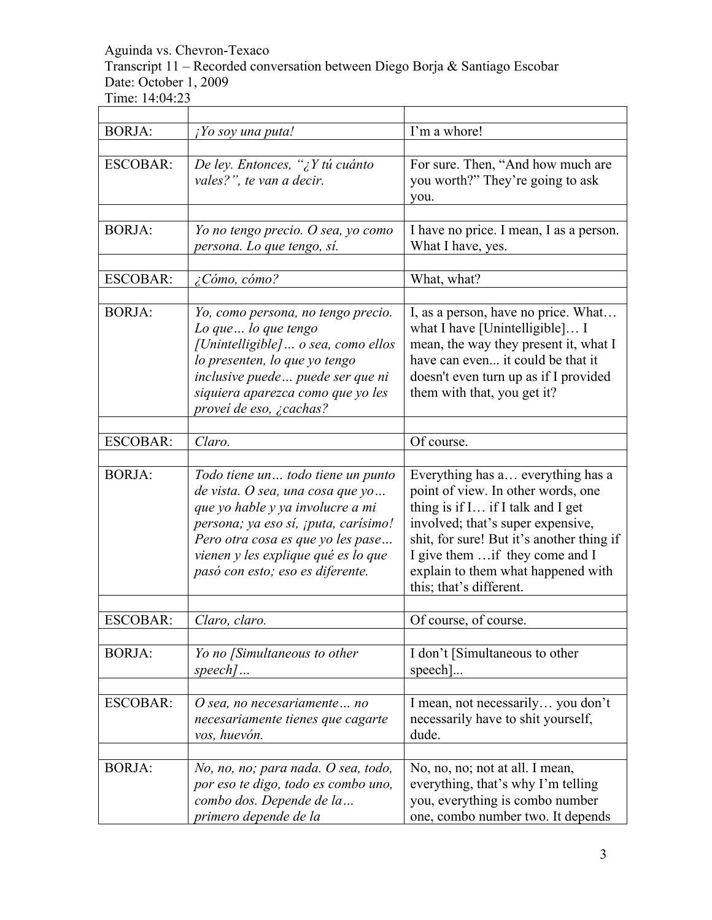Transcript 11 – Recorded conversation between Diego Borja & Santiago Escobar Date: October 1, 2009

| <b>BORJA:</b>   | ¡Yo soy una puta!                    | I'm a whore!                              |
|-----------------|--------------------------------------|-------------------------------------------|
|                 |                                      |                                           |
| <b>ESCOBAR:</b> | De ley. Entonces, "¿Y tú cuánto      | For sure. Then, "And how much are         |
|                 | vales?", te van a decir.             | you worth?" They're going to ask          |
|                 |                                      | you.                                      |
|                 |                                      |                                           |
| <b>BORJA:</b>   | Yo no tengo precio. O sea, yo como   | I have no price. I mean, I as a person.   |
|                 | persona. Lo que tengo, sí.           | What I have, yes.                         |
|                 |                                      |                                           |
| <b>ESCOBAR:</b> | ¿Cómo, cómo?                         | What, what?                               |
|                 |                                      |                                           |
| <b>BORJA:</b>   | Yo, como persona, no tengo precio.   | I, as a person, have no price. What       |
|                 | Lo que  lo que tengo                 | what I have [Unintelligible] I            |
|                 | [Unintelligible]  o sea, como ellos  | mean, the way they present it, what I     |
|                 | lo presenten, lo que yo tengo        | have can even it could be that it         |
|                 | inclusive puede puede ser que ni     | doesn't even turn up as if I provided     |
|                 | siquiera aparezca como que yo les    | them with that, you get it?               |
|                 | proveí de eso, ¿cachas?              |                                           |
|                 |                                      |                                           |
| <b>ESCOBAR:</b> | Claro.                               | Of course.                                |
|                 |                                      |                                           |
| <b>BORJA:</b>   | Todo tiene un todo tiene un punto    | Everything has a everything has a         |
|                 | de vista. O sea, una cosa que yo     | point of view. In other words, one        |
|                 | que yo hable y ya involucre a mi     | thing is if I if I talk and I get         |
|                 | persona; ya eso sí, ¡puta, carísimo! | involved; that's super expensive,         |
|                 | Pero otra cosa es que yo les pase    | shit, for sure! But it's another thing if |
|                 | vienen y les explique qué es lo que  | I give them  if they come and I           |
|                 | pasó con esto; eso es diferente.     | explain to them what happened with        |
|                 |                                      | this; that's different.                   |
|                 |                                      |                                           |
| <b>ESCOBAR:</b> | Claro, claro.                        | Of course, of course.                     |
|                 |                                      |                                           |
| <b>BORJA:</b>   | Yo no [Simultaneous to other         | I don't [Simultaneous to other            |
|                 | $\mathit{speed}\$                    | $\text{speed}$ ]                          |
|                 |                                      |                                           |
| <b>ESCOBAR:</b> | O sea, no necesariamente no          | I mean, not necessarily you don't         |
|                 | necesariamente tienes que cagarte    | necessarily have to shit yourself,        |
|                 | vos, huevón.                         | dude.                                     |
|                 |                                      |                                           |
| <b>BORJA:</b>   | No, no, no; para nada. O sea, todo,  | No, no, no; not at all. I mean,           |
|                 | por eso te digo, todo es combo uno,  | everything, that's why I'm telling        |
|                 | combo dos. Depende de la             | you, everything is combo number           |
|                 | primero depende de la                | one, combo number two. It depends         |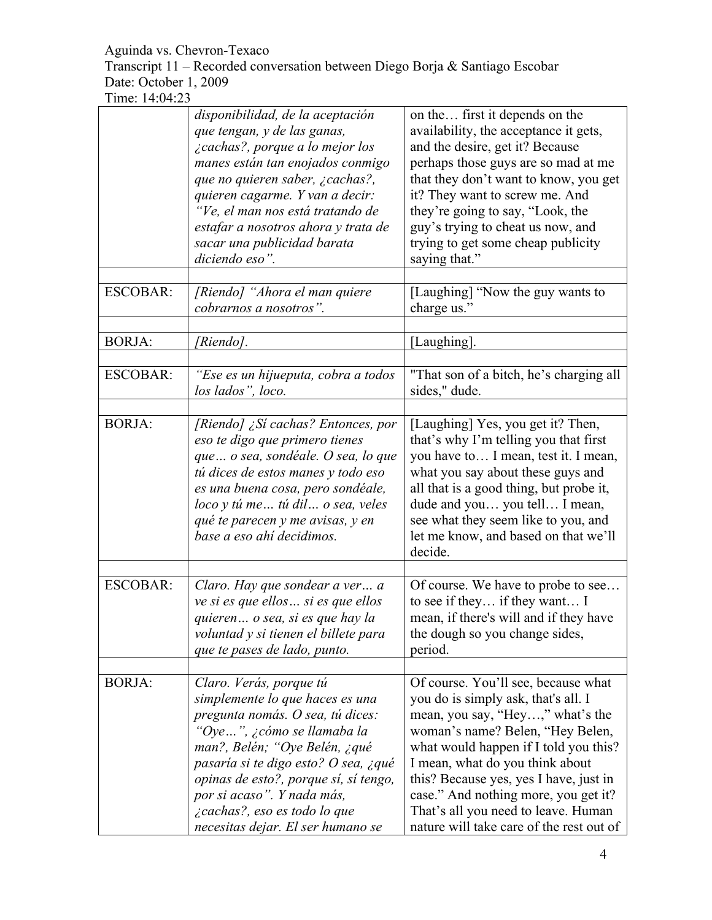Transcript 11 – Recorded conversation between Diego Borja & Santiago Escobar Date: October 1, 2009

|                 | disponibilidad, de la aceptación<br>que tengan, y de las ganas,<br>¿cachas?, porque a lo mejor los<br>manes están tan enojados conmigo<br>que no quieren saber, ¿cachas?,<br>quieren cagarme. Y van a decir:<br>"Ve, el man nos está tratando de<br>estafar a nosotros ahora y trata de<br>sacar una publicidad barata<br>diciendo eso".          | on the first it depends on the<br>availability, the acceptance it gets,<br>and the desire, get it? Because<br>perhaps those guys are so mad at me<br>that they don't want to know, you get<br>it? They want to screw me. And<br>they're going to say, "Look, the<br>guy's trying to cheat us now, and<br>trying to get some cheap publicity<br>saying that."                                        |
|-----------------|---------------------------------------------------------------------------------------------------------------------------------------------------------------------------------------------------------------------------------------------------------------------------------------------------------------------------------------------------|-----------------------------------------------------------------------------------------------------------------------------------------------------------------------------------------------------------------------------------------------------------------------------------------------------------------------------------------------------------------------------------------------------|
| <b>ESCOBAR:</b> | [Riendo] "Ahora el man quiere<br>cobrarnos a nosotros".                                                                                                                                                                                                                                                                                           | [Laughing] "Now the guy wants to<br>charge us."                                                                                                                                                                                                                                                                                                                                                     |
| <b>BORJA:</b>   | [Riendo].                                                                                                                                                                                                                                                                                                                                         | [Laughing].                                                                                                                                                                                                                                                                                                                                                                                         |
| <b>ESCOBAR:</b> | "Ese es un hijueputa, cobra a todos<br>los lados", loco.                                                                                                                                                                                                                                                                                          | "That son of a bitch, he's charging all<br>sides," dude.                                                                                                                                                                                                                                                                                                                                            |
| <b>BORJA:</b>   | [Riendo] ¿Sí cachas? Entonces, por<br>eso te digo que primero tienes<br>que  o sea, sondéale. O sea, lo que<br>tú dices de estos manes y todo eso<br>es una buena cosa, pero sondéale,<br>loco y tú me tú dil o sea, veles<br>qué te parecen y me avisas, y en<br>base a eso ahí decidimos.                                                       | [Laughing] Yes, you get it? Then,<br>that's why I'm telling you that first<br>you have to I mean, test it. I mean,<br>what you say about these guys and<br>all that is a good thing, but probe it,<br>dude and you you tell I mean,<br>see what they seem like to you, and<br>let me know, and based on that we'll<br>decide.                                                                       |
| <b>ESCOBAR:</b> | Claro. Hay que sondear a ver a<br>ve si es que ellos  si es que ellos<br>quieren o sea, si es que hay la<br>voluntad y si tienen el billete para<br>que te pases de lado, punto.                                                                                                                                                                  | Of course. We have to probe to see<br>to see if they if they want I<br>mean, if there's will and if they have<br>the dough so you change sides,<br>period.                                                                                                                                                                                                                                          |
| <b>BORJA:</b>   | Claro. Verás, porque tú<br>simplemente lo que haces es una<br>pregunta nomás. O sea, tú dices:<br>"Oye", ¿cómo se llamaba la<br>man?, Belén; "Oye Belén, ¿qué<br>pasaría si te digo esto? O sea, ¿qué<br>opinas de esto?, porque sí, sí tengo,<br>por si acaso". Y nada más,<br>¿cachas?, eso es todo lo que<br>necesitas dejar. El ser humano se | Of course. You'll see, because what<br>you do is simply ask, that's all. I<br>mean, you say, "Hey," what's the<br>woman's name? Belen, "Hey Belen,<br>what would happen if I told you this?<br>I mean, what do you think about<br>this? Because yes, yes I have, just in<br>case." And nothing more, you get it?<br>That's all you need to leave. Human<br>nature will take care of the rest out of |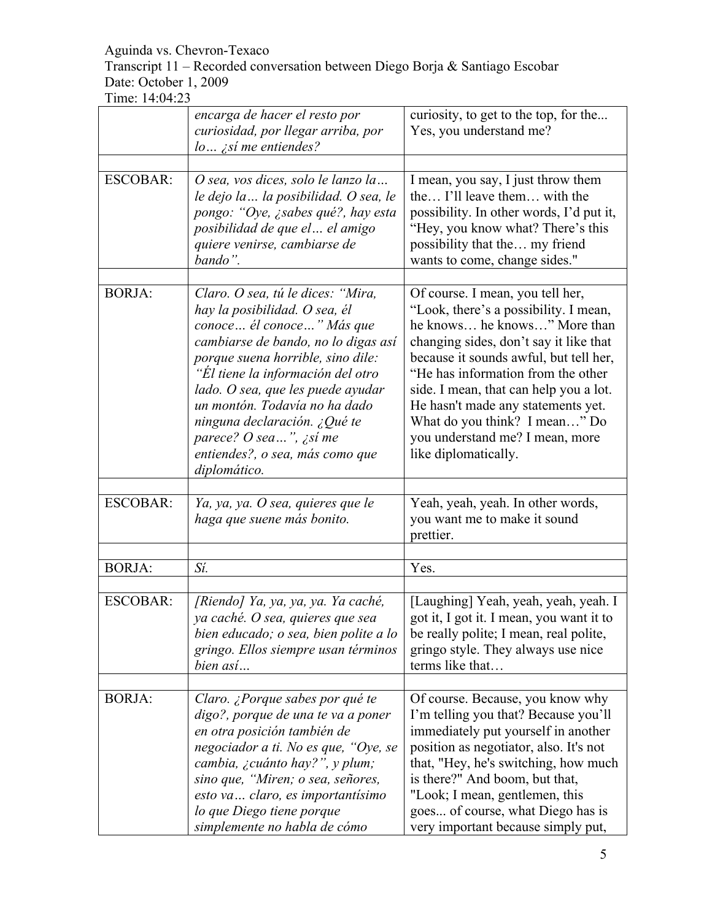Transcript 11 – Recorded conversation between Diego Borja & Santiago Escobar Date: October 1, 2009

|                 | encarga de hacer el resto por<br>curiosidad, por llegar arriba, por<br>$lo$ <i>ist</i> me entiendes?                                                                                                                                                                                                                                                                                                   | curiosity, to get to the top, for the<br>Yes, you understand me?                                                                                                                                                                                                                                                                                                                                                |
|-----------------|--------------------------------------------------------------------------------------------------------------------------------------------------------------------------------------------------------------------------------------------------------------------------------------------------------------------------------------------------------------------------------------------------------|-----------------------------------------------------------------------------------------------------------------------------------------------------------------------------------------------------------------------------------------------------------------------------------------------------------------------------------------------------------------------------------------------------------------|
|                 |                                                                                                                                                                                                                                                                                                                                                                                                        |                                                                                                                                                                                                                                                                                                                                                                                                                 |
| <b>ESCOBAR:</b> | O sea, vos dices, solo le lanzo la<br>le dejo la  la posibilidad. O sea, le<br>pongo: "Oye, ¿sabes qué?, hay esta<br>posibilidad de que el el amigo<br>quiere venirse, cambiarse de<br>bando".                                                                                                                                                                                                         | I mean, you say, I just throw them<br>the I'll leave them with the<br>possibility. In other words, I'd put it,<br>"Hey, you know what? There's this<br>possibility that the my friend<br>wants to come, change sides."                                                                                                                                                                                          |
| <b>BORJA:</b>   | Claro. O sea, tú le dices: "Mira,<br>hay la posibilidad. O sea, él<br>conoce  él conoce  " Más que<br>cambiarse de bando, no lo digas así<br>porque suena horrible, sino dile:<br>"Él tiene la información del otro<br>lado. O sea, que les puede ayudar<br>un montón. Todavía no ha dado<br>ninguna declaración. ¿Qué te<br>parece? O sea", ¿sí me<br>entiendes?, o sea, más como que<br>diplomático. | Of course. I mean, you tell her,<br>"Look, there's a possibility. I mean,<br>he knows he knows" More than<br>changing sides, don't say it like that<br>because it sounds awful, but tell her,<br>"He has information from the other<br>side. I mean, that can help you a lot.<br>He hasn't made any statements yet.<br>What do you think? I mean" Do<br>you understand me? I mean, more<br>like diplomatically. |
| <b>ESCOBAR:</b> | Ya, ya, ya. O sea, quieres que le<br>haga que suene más bonito.                                                                                                                                                                                                                                                                                                                                        | Yeah, yeah, yeah. In other words,<br>you want me to make it sound<br>prettier.                                                                                                                                                                                                                                                                                                                                  |
|                 |                                                                                                                                                                                                                                                                                                                                                                                                        |                                                                                                                                                                                                                                                                                                                                                                                                                 |
| <b>BORJA:</b>   | Sí.                                                                                                                                                                                                                                                                                                                                                                                                    | Yes.                                                                                                                                                                                                                                                                                                                                                                                                            |
| <b>ESCOBAR:</b> | [Riendo] Ya, ya, ya, ya. Ya caché,<br>ya caché. O sea, quieres que sea<br>bien educado; o sea, bien polite a lo<br>gringo. Ellos siempre usan términos<br>bien así                                                                                                                                                                                                                                     | [Laughing] Yeah, yeah, yeah, yeah. I<br>got it, I got it. I mean, you want it to<br>be really polite; I mean, real polite,<br>gringo style. They always use nice<br>terms like that                                                                                                                                                                                                                             |
| <b>BORJA:</b>   |                                                                                                                                                                                                                                                                                                                                                                                                        |                                                                                                                                                                                                                                                                                                                                                                                                                 |
|                 | Claro. ¿Porque sabes por qué te<br>digo?, porque de una te va a poner<br>en otra posición también de<br>negociador a ti. No es que, "Oye, se<br>cambia, ¿cuánto hay?", y plum;<br>sino que, "Miren; o sea, señores,<br>esto va claro, es importantísimo<br>lo que Diego tiene porque<br>simplemente no habla de cómo                                                                                   | Of course. Because, you know why<br>I'm telling you that? Because you'll<br>immediately put yourself in another<br>position as negotiator, also. It's not<br>that, "Hey, he's switching, how much<br>is there?" And boom, but that,<br>"Look; I mean, gentlemen, this<br>goes of course, what Diego has is<br>very important because simply put,                                                                |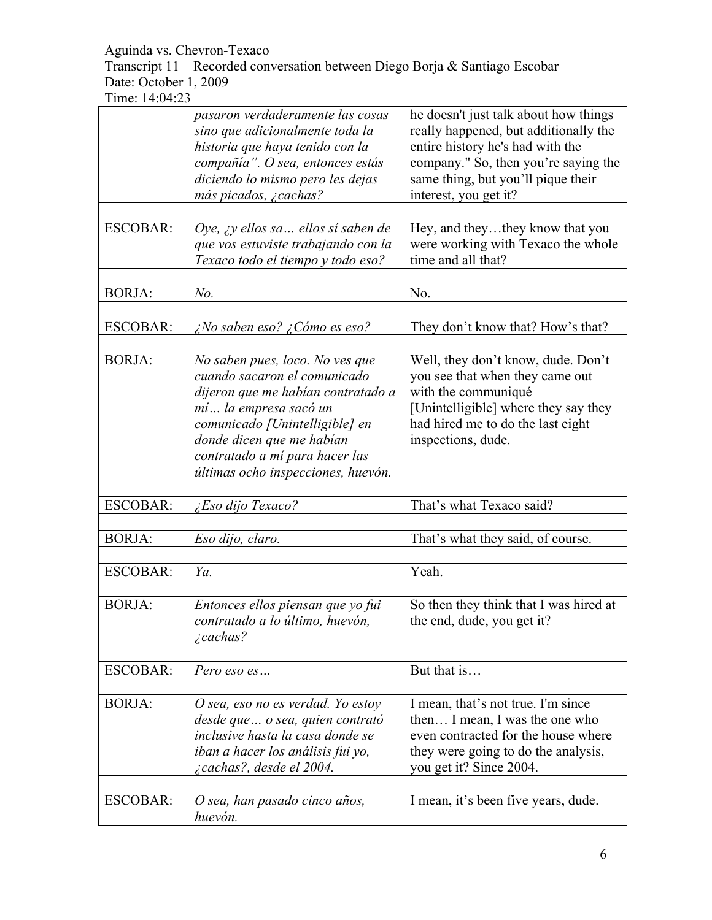Transcript 11 – Recorded conversation between Diego Borja & Santiago Escobar Date: October 1, 2009

|                 | pasaron verdaderamente las cosas<br>sino que adicionalmente toda la<br>historia que haya tenido con la<br>compañía". O sea, entonces estás<br>diciendo lo mismo pero les dejas<br>más picados, ¿cachas?                                                               | he doesn't just talk about how things<br>really happened, but additionally the<br>entire history he's had with the<br>company." So, then you're saying the<br>same thing, but you'll pique their<br>interest, you get it? |
|-----------------|-----------------------------------------------------------------------------------------------------------------------------------------------------------------------------------------------------------------------------------------------------------------------|---------------------------------------------------------------------------------------------------------------------------------------------------------------------------------------------------------------------------|
| <b>ESCOBAR:</b> | Oye, ¿y ellos sa ellos sí saben de<br>que vos estuviste trabajando con la<br>Texaco todo el tiempo y todo eso?                                                                                                                                                        | Hey, and theythey know that you<br>were working with Texaco the whole<br>time and all that?                                                                                                                               |
| <b>BORJA:</b>   | No.                                                                                                                                                                                                                                                                   | No.                                                                                                                                                                                                                       |
| <b>ESCOBAR:</b> | ¿No saben eso? ¿Cómo es eso?                                                                                                                                                                                                                                          | They don't know that? How's that?                                                                                                                                                                                         |
| <b>BORJA:</b>   | No saben pues, loco. No ves que<br>cuando sacaron el comunicado<br>dijeron que me habían contratado a<br>mí la empresa sacó un<br>comunicado [Unintelligible] en<br>donde dicen que me habían<br>contratado a mí para hacer las<br>últimas ocho inspecciones, huevón. | Well, they don't know, dude. Don't<br>you see that when they came out<br>with the communiqué<br>[Unintelligible] where they say they<br>had hired me to do the last eight<br>inspections, dude.                           |
| <b>ESCOBAR:</b> | ¿Eso dijo Texaco?                                                                                                                                                                                                                                                     | That's what Texaco said?                                                                                                                                                                                                  |
| <b>BORJA:</b>   | Eso dijo, claro.                                                                                                                                                                                                                                                      | That's what they said, of course.                                                                                                                                                                                         |
| <b>ESCOBAR:</b> | Ya.                                                                                                                                                                                                                                                                   | Yeah.                                                                                                                                                                                                                     |
| <b>BORJA:</b>   | Entonces ellos piensan que yo fui<br>contratado a lo último, huevón,<br>¿cachas?                                                                                                                                                                                      | So then they think that I was hired at<br>the end, dude, you get it?                                                                                                                                                      |
| <b>ESCOBAR:</b> | Pero eso es                                                                                                                                                                                                                                                           | But that is                                                                                                                                                                                                               |
| <b>BORJA:</b>   | O sea, eso no es verdad. Yo estoy<br>desde que  o sea, quien contrató<br>inclusive hasta la casa donde se<br>iban a hacer los análisis fui yo,<br>¿cachas?, desde el 2004.                                                                                            | I mean, that's not true. I'm since<br>then I mean, I was the one who<br>even contracted for the house where<br>they were going to do the analysis,<br>you get it? Since 2004.                                             |
| <b>ESCOBAR:</b> | O sea, han pasado cinco años,<br>huevón.                                                                                                                                                                                                                              | I mean, it's been five years, dude.                                                                                                                                                                                       |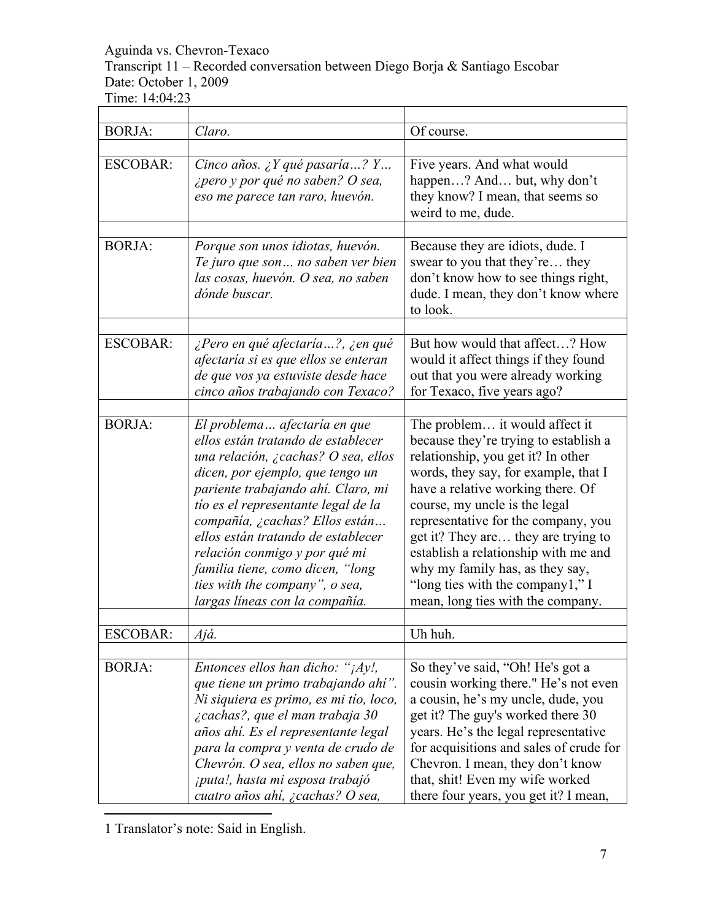Aguinda vs. Chevron-Texaco Transcript 11 – Recorded conversation between Diego Borja & Santiago Escobar Date: October 1, 2009 Time: 14:04:23

| <b>BORJA:</b>   | Claro.                                                                                                                                                                                                                                                                                                                                                                                                                                      | Of course.                                                                                                                                                                                                                                                                                                                                                                                                                                                    |
|-----------------|---------------------------------------------------------------------------------------------------------------------------------------------------------------------------------------------------------------------------------------------------------------------------------------------------------------------------------------------------------------------------------------------------------------------------------------------|---------------------------------------------------------------------------------------------------------------------------------------------------------------------------------------------------------------------------------------------------------------------------------------------------------------------------------------------------------------------------------------------------------------------------------------------------------------|
|                 |                                                                                                                                                                                                                                                                                                                                                                                                                                             |                                                                                                                                                                                                                                                                                                                                                                                                                                                               |
| <b>ESCOBAR:</b> | Cinco años. ¿Y qué pasaría? Y<br>¿pero y por qué no saben? O sea,<br>eso me parece tan raro, huevón.                                                                                                                                                                                                                                                                                                                                        | Five years. And what would<br>happen? And but, why don't<br>they know? I mean, that seems so<br>weird to me, dude.                                                                                                                                                                                                                                                                                                                                            |
| <b>BORJA:</b>   | Porque son unos idiotas, huevón.<br>Te juro que son no saben ver bien<br>las cosas, huevón. O sea, no saben<br>dónde buscar.                                                                                                                                                                                                                                                                                                                | Because they are idiots, dude. I<br>swear to you that they're they<br>don't know how to see things right,<br>dude. I mean, they don't know where<br>to look.                                                                                                                                                                                                                                                                                                  |
| <b>ESCOBAR:</b> | ¿Pero en qué afectaría?, ¿en qué<br>afectaría si es que ellos se enteran<br>de que vos ya estuviste desde hace<br>cinco años trabajando con Texaco?                                                                                                                                                                                                                                                                                         | But how would that affect? How<br>would it affect things if they found<br>out that you were already working<br>for Texaco, five years ago?                                                                                                                                                                                                                                                                                                                    |
| <b>BORJA:</b>   | El problema afectaría en que<br>ellos están tratando de establecer<br>una relación, ¿cachas? O sea, ellos<br>dicen, por ejemplo, que tengo un<br>pariente trabajando ahí. Claro, mi<br>tío es el representante legal de la<br>compañía, ¿cachas? Ellos están<br>ellos están tratando de establecer<br>relación conmigo y por qué mi<br>familia tiene, como dicen, "long<br>ties with the company", o sea,<br>largas líneas con la compañía. | The problem it would affect it<br>because they're trying to establish a<br>relationship, you get it? In other<br>words, they say, for example, that I<br>have a relative working there. Of<br>course, my uncle is the legal<br>representative for the company, you<br>get it? They are they are trying to<br>establish a relationship with me and<br>why my family has, as they say,<br>"long ties with the company1," I<br>mean, long ties with the company. |
|                 |                                                                                                                                                                                                                                                                                                                                                                                                                                             |                                                                                                                                                                                                                                                                                                                                                                                                                                                               |
| ESCOBAR:        | Ajá.                                                                                                                                                                                                                                                                                                                                                                                                                                        | Uh huh.                                                                                                                                                                                                                                                                                                                                                                                                                                                       |
| <b>BORJA:</b>   | Entonces ellos han dicho: " $\frac{1}{4}$ y!,<br>que tiene un primo trabajando ahí".<br>Ni siquiera es primo, es mi tío, loco,<br>¿cachas?, que el man trabaja 30<br>años ahí. Es el representante legal<br>para la compra y venta de crudo de<br>Chevrón. O sea, ellos no saben que,<br>¡puta!, hasta mi esposa trabajó<br>cuatro años ahí, ¿cachas? O sea,                                                                                | So they've said, "Oh! He's got a<br>cousin working there." He's not even<br>a cousin, he's my uncle, dude, you<br>get it? The guy's worked there 30<br>years. He's the legal representative<br>for acquisitions and sales of crude for<br>Chevron. I mean, they don't know<br>that, shit! Even my wife worked<br>there four years, you get it? I mean,                                                                                                        |

 $\overline{a}$ 1 Translator's note: Said in English.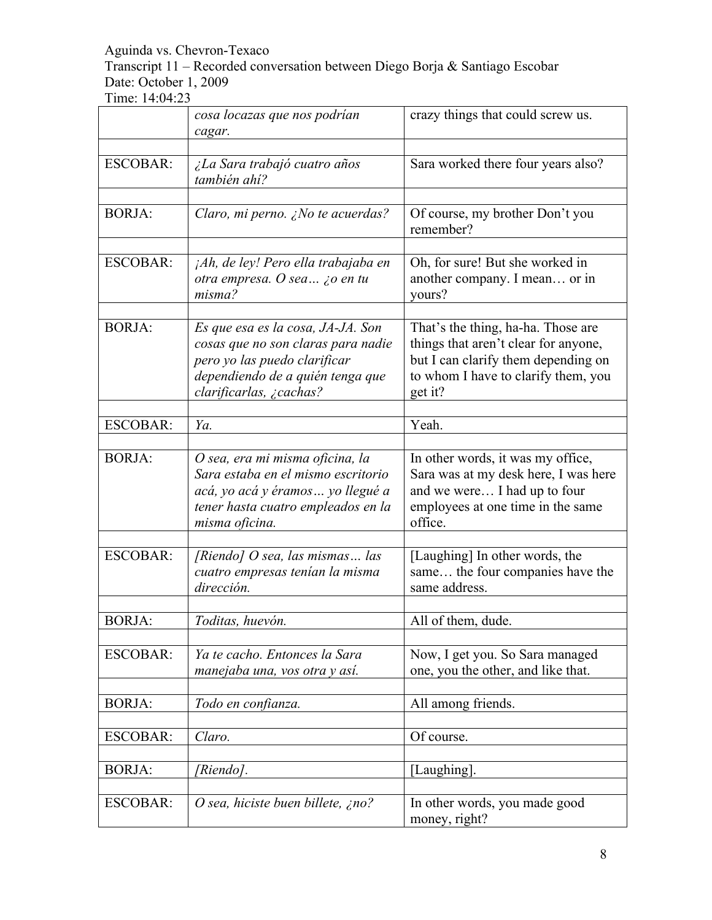Transcript 11 – Recorded conversation between Diego Borja & Santiago Escobar Date: October 1, 2009

|                 | cosa locazas que nos podrían<br>cagar.                                                                                                                                 | crazy things that could screw us.                                                                                                                                   |
|-----------------|------------------------------------------------------------------------------------------------------------------------------------------------------------------------|---------------------------------------------------------------------------------------------------------------------------------------------------------------------|
|                 |                                                                                                                                                                        |                                                                                                                                                                     |
| <b>ESCOBAR:</b> | ¿La Sara trabajó cuatro años<br>también ahí?                                                                                                                           | Sara worked there four years also?                                                                                                                                  |
| <b>BORJA:</b>   | Claro, mi perno. ¿No te acuerdas?                                                                                                                                      | Of course, my brother Don't you<br>remember?                                                                                                                        |
| <b>ESCOBAR:</b> | jAh, de ley! Pero ella trabajaba en<br>otra empresa. O sea ¿o en tu<br>misma?                                                                                          | Oh, for sure! But she worked in<br>another company. I mean or in<br>yours?                                                                                          |
|                 |                                                                                                                                                                        |                                                                                                                                                                     |
| <b>BORJA:</b>   | Es que esa es la cosa, JA-JA. Son<br>cosas que no son claras para nadie<br>pero yo las puedo clarificar<br>dependiendo de a quién tenga que<br>clarificarlas, ¿cachas? | That's the thing, ha-ha. Those are<br>things that aren't clear for anyone,<br>but I can clarify them depending on<br>to whom I have to clarify them, you<br>get it? |
|                 |                                                                                                                                                                        |                                                                                                                                                                     |
| <b>ESCOBAR:</b> | Ya.                                                                                                                                                                    | Yeah.                                                                                                                                                               |
| <b>BORJA:</b>   | O sea, era mi misma oficina, la<br>Sara estaba en el mismo escritorio<br>acá, yo acá y éramos  yo llegué a<br>tener hasta cuatro empleados en la<br>misma oficina.     | In other words, it was my office,<br>Sara was at my desk here, I was here<br>and we were I had up to four<br>employees at one time in the same<br>office.           |
|                 |                                                                                                                                                                        |                                                                                                                                                                     |
| <b>ESCOBAR:</b> | [Riendo] O sea, las mismas las<br>cuatro empresas tenían la misma<br>dirección.                                                                                        | [Laughing] In other words, the<br>same the four companies have the<br>same address.                                                                                 |
|                 |                                                                                                                                                                        |                                                                                                                                                                     |
| <b>BORJA:</b>   | Toditas, huevón.                                                                                                                                                       | All of them, dude.                                                                                                                                                  |
| <b>ESCOBAR:</b> | Ya te cacho. Entonces la Sara<br>manejaba una, vos otra y así.                                                                                                         | Now, I get you. So Sara managed<br>one, you the other, and like that.                                                                                               |
| <b>BORJA:</b>   | Todo en confianza.                                                                                                                                                     | All among friends.                                                                                                                                                  |
|                 |                                                                                                                                                                        |                                                                                                                                                                     |
| <b>ESCOBAR:</b> | Claro.                                                                                                                                                                 | Of course.                                                                                                                                                          |
|                 |                                                                                                                                                                        |                                                                                                                                                                     |
| <b>BORJA:</b>   | [Riendo].                                                                                                                                                              | [Laughing].                                                                                                                                                         |
|                 |                                                                                                                                                                        |                                                                                                                                                                     |
| <b>ESCOBAR:</b> | O sea, hiciste buen billete, ¿no?                                                                                                                                      | In other words, you made good<br>money, right?                                                                                                                      |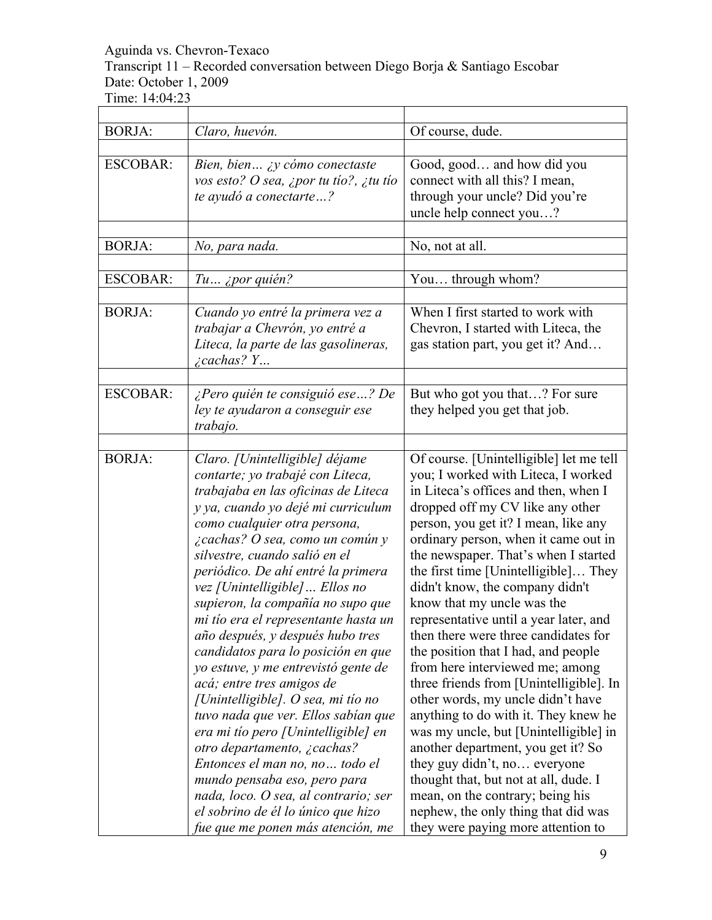Transcript 11 – Recorded conversation between Diego Borja & Santiago Escobar Date: October 1, 2009 

| <b>BORJA:</b>   | Claro, huevón.                                                                                                                                                                                                                                                                                                                                                                                                                                                                                                                                                                                                                                                                                                                                                                                                                                                                                          | Of course, dude.                                                                                                                                                                                                                                                                                                                                                                                                                                                                                                                                                                                                                                                                                                                                                                                                                                                                                                                                         |
|-----------------|---------------------------------------------------------------------------------------------------------------------------------------------------------------------------------------------------------------------------------------------------------------------------------------------------------------------------------------------------------------------------------------------------------------------------------------------------------------------------------------------------------------------------------------------------------------------------------------------------------------------------------------------------------------------------------------------------------------------------------------------------------------------------------------------------------------------------------------------------------------------------------------------------------|----------------------------------------------------------------------------------------------------------------------------------------------------------------------------------------------------------------------------------------------------------------------------------------------------------------------------------------------------------------------------------------------------------------------------------------------------------------------------------------------------------------------------------------------------------------------------------------------------------------------------------------------------------------------------------------------------------------------------------------------------------------------------------------------------------------------------------------------------------------------------------------------------------------------------------------------------------|
| <b>ESCOBAR:</b> | Bien, bien ¿y cómo conectaste<br>vos esto? O sea, ¿por tu tío?, ¿tu tío<br>te ayudó a conectarte?                                                                                                                                                                                                                                                                                                                                                                                                                                                                                                                                                                                                                                                                                                                                                                                                       | Good, good and how did you<br>connect with all this? I mean,<br>through your uncle? Did you're<br>uncle help connect you?                                                                                                                                                                                                                                                                                                                                                                                                                                                                                                                                                                                                                                                                                                                                                                                                                                |
| <b>BORJA:</b>   |                                                                                                                                                                                                                                                                                                                                                                                                                                                                                                                                                                                                                                                                                                                                                                                                                                                                                                         |                                                                                                                                                                                                                                                                                                                                                                                                                                                                                                                                                                                                                                                                                                                                                                                                                                                                                                                                                          |
|                 | No, para nada.                                                                                                                                                                                                                                                                                                                                                                                                                                                                                                                                                                                                                                                                                                                                                                                                                                                                                          | No, not at all.                                                                                                                                                                                                                                                                                                                                                                                                                                                                                                                                                                                                                                                                                                                                                                                                                                                                                                                                          |
| <b>ESCOBAR:</b> | $Tu$ <i>ipor quién?</i>                                                                                                                                                                                                                                                                                                                                                                                                                                                                                                                                                                                                                                                                                                                                                                                                                                                                                 | You through whom?                                                                                                                                                                                                                                                                                                                                                                                                                                                                                                                                                                                                                                                                                                                                                                                                                                                                                                                                        |
| <b>BORJA:</b>   | Cuando yo entré la primera vez a<br>trabajar a Chevrón, yo entré a<br>Liteca, la parte de las gasolineras,<br>$\lambda$ cachas? $Y$                                                                                                                                                                                                                                                                                                                                                                                                                                                                                                                                                                                                                                                                                                                                                                     | When I first started to work with<br>Chevron, I started with Liteca, the<br>gas station part, you get it? And                                                                                                                                                                                                                                                                                                                                                                                                                                                                                                                                                                                                                                                                                                                                                                                                                                            |
| <b>ESCOBAR:</b> | ¿Pero quién te consiguió ese ? De<br>ley te ayudaron a conseguir ese<br>trabajo.                                                                                                                                                                                                                                                                                                                                                                                                                                                                                                                                                                                                                                                                                                                                                                                                                        | But who got you that? For sure<br>they helped you get that job.                                                                                                                                                                                                                                                                                                                                                                                                                                                                                                                                                                                                                                                                                                                                                                                                                                                                                          |
| <b>BORJA:</b>   | Claro. [Unintelligible] déjame<br>contarte; yo trabajé con Liteca,<br>trabajaba en las oficinas de Liteca<br>y ya, cuando yo dejé mi curriculum<br>como cualquier otra persona,<br><i>i</i> cachas? O sea, como un común y<br>silvestre, cuando salió en el<br>periódico. De ahí entré la primera<br>vez [Unintelligible]  Ellos no<br>supieron, la compañía no supo que<br>mi tío era el representante hasta un<br>año después, y después hubo tres<br>candidatos para lo posición en que<br>yo estuve, y me entrevistó gente de<br>acá; entre tres amigos de<br>[Unintelligible]. O sea, mi tío no<br>tuvo nada que ver. Ellos sabían que<br>era mi tio pero [Unintelligible] en<br>otro departamento, ¿cachas?<br>Entonces el man no, no  todo el<br>mundo pensaba eso, pero para<br>nada, loco. O sea, al contrario; ser<br>el sobrino de él lo único que hizo<br>fue que me ponen más atención, me | Of course. [Unintelligible] let me tell<br>you; I worked with Liteca, I worked<br>in Liteca's offices and then, when I<br>dropped off my CV like any other<br>person, you get it? I mean, like any<br>ordinary person, when it came out in<br>the newspaper. That's when I started<br>the first time [Unintelligible] They<br>didn't know, the company didn't<br>know that my uncle was the<br>representative until a year later, and<br>then there were three candidates for<br>the position that I had, and people<br>from here interviewed me; among<br>three friends from [Unintelligible]. In<br>other words, my uncle didn't have<br>anything to do with it. They knew he<br>was my uncle, but [Unintelligible] in<br>another department, you get it? So<br>they guy didn't, no everyone<br>thought that, but not at all, dude. I<br>mean, on the contrary; being his<br>nephew, the only thing that did was<br>they were paying more attention to |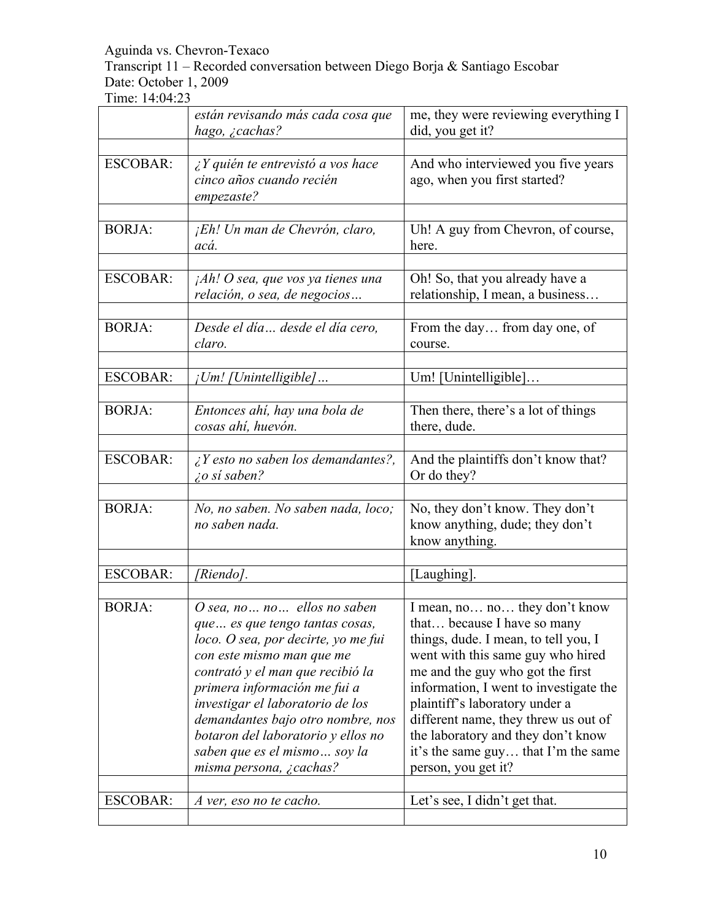Transcript 11 – Recorded conversation between Diego Borja & Santiago Escobar Date: October 1, 2009

|                 | están revisando más cada cosa que<br>hago, <i>i</i> cachas?                                                                                                                                                                                                                                                                                                                     | me, they were reviewing everything I<br>did, you get it?                                                                                                                                                                                                                                                                                                                                              |
|-----------------|---------------------------------------------------------------------------------------------------------------------------------------------------------------------------------------------------------------------------------------------------------------------------------------------------------------------------------------------------------------------------------|-------------------------------------------------------------------------------------------------------------------------------------------------------------------------------------------------------------------------------------------------------------------------------------------------------------------------------------------------------------------------------------------------------|
|                 |                                                                                                                                                                                                                                                                                                                                                                                 |                                                                                                                                                                                                                                                                                                                                                                                                       |
| <b>ESCOBAR:</b> | $iY$ quién te entrevistó a vos hace<br>cinco años cuando recién<br>empezaste?                                                                                                                                                                                                                                                                                                   | And who interviewed you five years<br>ago, when you first started?                                                                                                                                                                                                                                                                                                                                    |
| <b>BORJA:</b>   | ¡Eh! Un man de Chevrón, claro,<br>acá.                                                                                                                                                                                                                                                                                                                                          | Uh! A guy from Chevron, of course,<br>here.                                                                                                                                                                                                                                                                                                                                                           |
| <b>ESCOBAR:</b> | $jAh!$ O sea, que vos ya tienes una<br>relación, o sea, de negocios                                                                                                                                                                                                                                                                                                             | Oh! So, that you already have a<br>relationship, I mean, a business                                                                                                                                                                                                                                                                                                                                   |
| <b>BORJA:</b>   | Desde el día desde el día cero,<br>claro.                                                                                                                                                                                                                                                                                                                                       | From the day from day one, of<br>course.                                                                                                                                                                                                                                                                                                                                                              |
| <b>ESCOBAR:</b> | ¡Um! [Unintelligible]                                                                                                                                                                                                                                                                                                                                                           | Um! [Unintelligible]                                                                                                                                                                                                                                                                                                                                                                                  |
| <b>BORJA:</b>   | Entonces ahí, hay una bola de<br>cosas ahí, huevón.                                                                                                                                                                                                                                                                                                                             | Then there, there's a lot of things<br>there, dude.                                                                                                                                                                                                                                                                                                                                                   |
| <b>ESCOBAR:</b> | $\lambda$ Y esto no saben los demandantes?,<br>$\zeta$ o sí saben?                                                                                                                                                                                                                                                                                                              | And the plaintiffs don't know that?<br>Or do they?                                                                                                                                                                                                                                                                                                                                                    |
| <b>BORJA:</b>   | No, no saben. No saben nada, loco;<br>no saben nada.                                                                                                                                                                                                                                                                                                                            | No, they don't know. They don't<br>know anything, dude; they don't<br>know anything.                                                                                                                                                                                                                                                                                                                  |
| <b>ESCOBAR:</b> | [Riendo].                                                                                                                                                                                                                                                                                                                                                                       | [Laughing].                                                                                                                                                                                                                                                                                                                                                                                           |
| <b>BORJA:</b>   | O sea, no no ellos no saben<br>que es que tengo tantas cosas,<br>loco. O sea, por decirte, yo me fui<br>con este mismo man que me<br>contrató y el man que recibió la<br>primera información me fui a<br>investigar el laboratorio de los<br>demandantes bajo otro nombre, nos<br>botaron del laboratorio y ellos no<br>saben que es el mismo soy la<br>misma persona, ¿cachas? | I mean, no no they don't know<br>that because I have so many<br>things, dude. I mean, to tell you, I<br>went with this same guy who hired<br>me and the guy who got the first<br>information, I went to investigate the<br>plaintiff's laboratory under a<br>different name, they threw us out of<br>the laboratory and they don't know<br>it's the same guy that I'm the same<br>person, you get it? |
| <b>ESCOBAR:</b> | A ver, eso no te cacho.                                                                                                                                                                                                                                                                                                                                                         | Let's see, I didn't get that.                                                                                                                                                                                                                                                                                                                                                                         |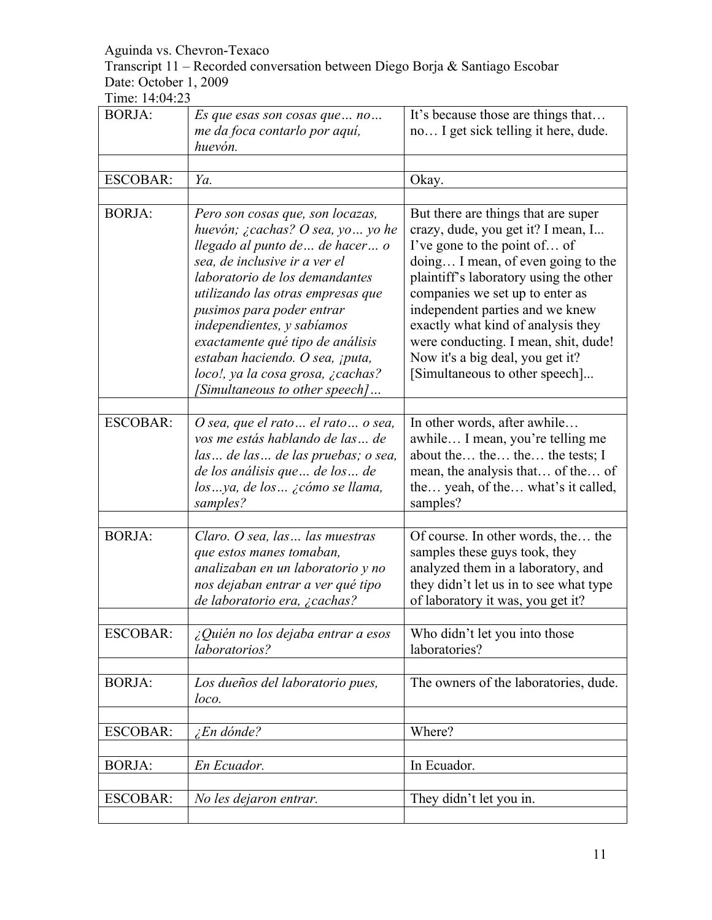Transcript 11 – Recorded conversation between Diego Borja & Santiago Escobar Date: October 1, 2009

| <b>BORJA:</b>   | Es que esas son cosas que  no<br>me da foca contarlo por aquí,<br>huevón.                                                                                                                                                                                                                                                                                                                                                 | It's because those are things that<br>no I get sick telling it here, dude.                                                                                                                                                                                                                                                                                                                                          |
|-----------------|---------------------------------------------------------------------------------------------------------------------------------------------------------------------------------------------------------------------------------------------------------------------------------------------------------------------------------------------------------------------------------------------------------------------------|---------------------------------------------------------------------------------------------------------------------------------------------------------------------------------------------------------------------------------------------------------------------------------------------------------------------------------------------------------------------------------------------------------------------|
|                 |                                                                                                                                                                                                                                                                                                                                                                                                                           |                                                                                                                                                                                                                                                                                                                                                                                                                     |
| <b>ESCOBAR:</b> | Ya.                                                                                                                                                                                                                                                                                                                                                                                                                       | Okay.                                                                                                                                                                                                                                                                                                                                                                                                               |
|                 |                                                                                                                                                                                                                                                                                                                                                                                                                           |                                                                                                                                                                                                                                                                                                                                                                                                                     |
| <b>BORJA:</b>   | Pero son cosas que, son locazas,<br>huevón; ¿cachas? O sea, yo  yo he<br>llegado al punto de  de hacer o<br>sea, de inclusive ir a ver el<br>laboratorio de los demandantes<br>utilizando las otras empresas que<br>pusimos para poder entrar<br>independientes, y sabíamos<br>exactamente qué tipo de análisis<br>estaban haciendo. O sea, ¡puta,<br>loco!, ya la cosa grosa, ¿cachas?<br>[Simultaneous to other speech] | But there are things that are super<br>crazy, dude, you get it? I mean, I<br>I've gone to the point of of<br>doing I mean, of even going to the<br>plaintiff's laboratory using the other<br>companies we set up to enter as<br>independent parties and we knew<br>exactly what kind of analysis they<br>were conducting. I mean, shit, dude!<br>Now it's a big deal, you get it?<br>[Simultaneous to other speech] |
|                 |                                                                                                                                                                                                                                                                                                                                                                                                                           |                                                                                                                                                                                                                                                                                                                                                                                                                     |
| <b>ESCOBAR:</b> | O sea, que el rato  el rato  o sea,<br>vos me estás hablando de las  de<br>las  de las  de las pruebas; o sea,<br>de los análisis que  de los  de<br>losya, de los ¿cómo se llama,<br>samples?                                                                                                                                                                                                                            | In other words, after awhile<br>awhile I mean, you're telling me<br>about the the the tests; I<br>mean, the analysis that of the of<br>the yeah, of the what's it called,<br>samples?                                                                                                                                                                                                                               |
|                 |                                                                                                                                                                                                                                                                                                                                                                                                                           |                                                                                                                                                                                                                                                                                                                                                                                                                     |
| <b>BORJA:</b>   | Claro. O sea, las  las muestras<br>que estos manes tomaban,<br>analizaban en un laboratorio y no<br>nos dejaban entrar a ver qué tipo<br>de laboratorio era, ¿cachas?                                                                                                                                                                                                                                                     | Of course. In other words, the the<br>samples these guys took, they<br>analyzed them in a laboratory, and<br>they didn't let us in to see what type<br>of laboratory it was, you get it?                                                                                                                                                                                                                            |
| <b>ESCOBAR:</b> | ¿Quién no los dejaba entrar a esos                                                                                                                                                                                                                                                                                                                                                                                        | Who didn't let you into those                                                                                                                                                                                                                                                                                                                                                                                       |
|                 | laboratorios?                                                                                                                                                                                                                                                                                                                                                                                                             | laboratories?                                                                                                                                                                                                                                                                                                                                                                                                       |
|                 |                                                                                                                                                                                                                                                                                                                                                                                                                           |                                                                                                                                                                                                                                                                                                                                                                                                                     |
| <b>BORJA:</b>   | Los dueños del laboratorio pues,<br>loco.                                                                                                                                                                                                                                                                                                                                                                                 | The owners of the laboratories, dude.                                                                                                                                                                                                                                                                                                                                                                               |
|                 |                                                                                                                                                                                                                                                                                                                                                                                                                           |                                                                                                                                                                                                                                                                                                                                                                                                                     |
| <b>ESCOBAR:</b> | <i>En dónde?</i>                                                                                                                                                                                                                                                                                                                                                                                                          | Where?                                                                                                                                                                                                                                                                                                                                                                                                              |
|                 |                                                                                                                                                                                                                                                                                                                                                                                                                           |                                                                                                                                                                                                                                                                                                                                                                                                                     |
| <b>BORJA:</b>   | En Ecuador.                                                                                                                                                                                                                                                                                                                                                                                                               | In Ecuador.                                                                                                                                                                                                                                                                                                                                                                                                         |
| <b>ESCOBAR:</b> |                                                                                                                                                                                                                                                                                                                                                                                                                           | They didn't let you in.                                                                                                                                                                                                                                                                                                                                                                                             |
|                 | No les dejaron entrar.                                                                                                                                                                                                                                                                                                                                                                                                    |                                                                                                                                                                                                                                                                                                                                                                                                                     |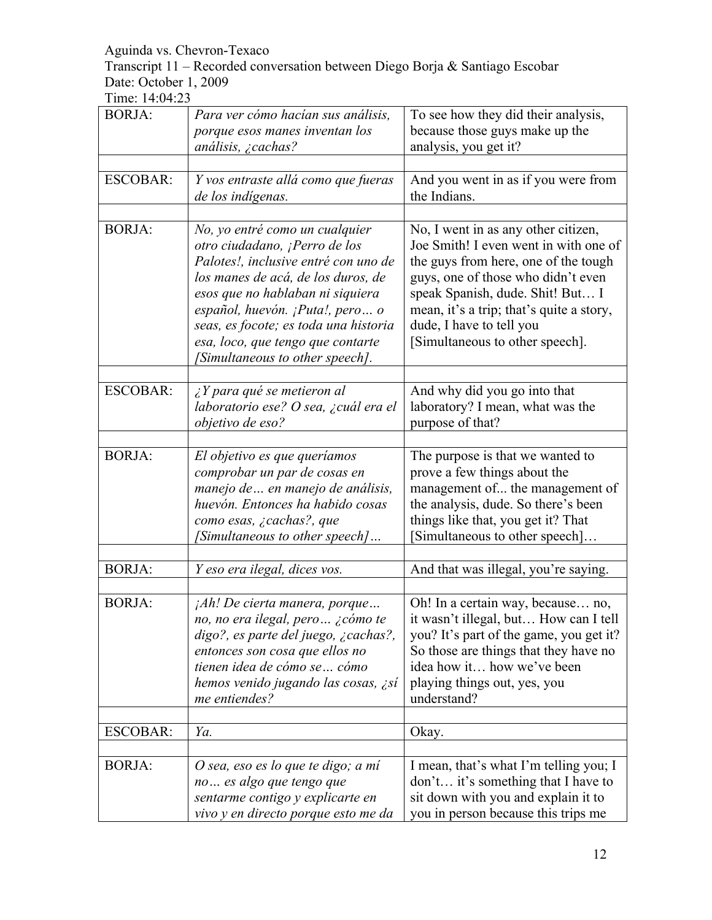Transcript 11 – Recorded conversation between Diego Borja & Santiago Escobar Date: October 1, 2009

| <b>BORJA:</b>   | Para ver cómo hacían sus análisis,<br>porque esos manes inventan los<br>análisis, ¿cachas?                                                                                                                                                                                                                                            | To see how they did their analysis,<br>because those guys make up the<br>analysis, you get it?                                                                                                                                                                                                            |
|-----------------|---------------------------------------------------------------------------------------------------------------------------------------------------------------------------------------------------------------------------------------------------------------------------------------------------------------------------------------|-----------------------------------------------------------------------------------------------------------------------------------------------------------------------------------------------------------------------------------------------------------------------------------------------------------|
| <b>ESCOBAR:</b> | Y vos entraste allá como que fueras<br>de los indígenas.                                                                                                                                                                                                                                                                              | And you went in as if you were from<br>the Indians.                                                                                                                                                                                                                                                       |
| <b>BORJA:</b>   | No, yo entré como un cualquier<br>otro ciudadano, ¡Perro de los<br>Palotes!, inclusive entré con uno de<br>los manes de acá, de los duros, de<br>esos que no hablaban ni siquiera<br>español, huevón. ¡Puta!, pero o<br>seas, es focote; es toda una historia<br>esa, loco, que tengo que contarte<br>[Simultaneous to other speech]. | No, I went in as any other citizen,<br>Joe Smith! I even went in with one of<br>the guys from here, one of the tough<br>guys, one of those who didn't even<br>speak Spanish, dude. Shit! But I<br>mean, it's a trip; that's quite a story,<br>dude, I have to tell you<br>[Simultaneous to other speech]. |
| <b>ESCOBAR:</b> | $\lambda$ Y para qué se metieron al<br>laboratorio ese? O sea, ¿cuál era el<br>objetivo de eso?                                                                                                                                                                                                                                       | And why did you go into that<br>laboratory? I mean, what was the<br>purpose of that?                                                                                                                                                                                                                      |
| <b>BORJA:</b>   | El objetivo es que queríamos<br>comprobar un par de cosas en<br>manejo de  en manejo de análisis,<br>huevón. Entonces ha habido cosas<br>como esas, ¿cachas?, que<br>[Simultaneous to other speech]                                                                                                                                   | The purpose is that we wanted to<br>prove a few things about the<br>management of the management of<br>the analysis, dude. So there's been<br>things like that, you get it? That<br>[Simultaneous to other speech]                                                                                        |
| <b>BORJA:</b>   | Y eso era ilegal, dices vos.                                                                                                                                                                                                                                                                                                          | And that was illegal, you're saying.                                                                                                                                                                                                                                                                      |
| <b>BORJA:</b>   | $jAh!$ De cierta manera, porque<br>no, no era ilegal, pero ¿cómo te<br>digo?, es parte del juego, ¿cachas?,<br>entonces son cosa que ellos no<br>tienen idea de cómo se  cómo<br>hemos venido jugando las cosas, ¿sí<br>me entiendes?                                                                                                 | Oh! In a certain way, because no,<br>it wasn't illegal, but How can I tell<br>you? It's part of the game, you get it?<br>So those are things that they have no<br>idea how it how we've been<br>playing things out, yes, you<br>understand?                                                               |
| <b>ESCOBAR:</b> | Ya.                                                                                                                                                                                                                                                                                                                                   | Okay.                                                                                                                                                                                                                                                                                                     |
| <b>BORJA:</b>   | O sea, eso es lo que te digo; a mí<br>no es algo que tengo que<br>sentarme contigo y explicarte en<br>vivo y en directo porque esto me da                                                                                                                                                                                             | I mean, that's what I'm telling you; I<br>don't it's something that I have to<br>sit down with you and explain it to<br>you in person because this trips me                                                                                                                                               |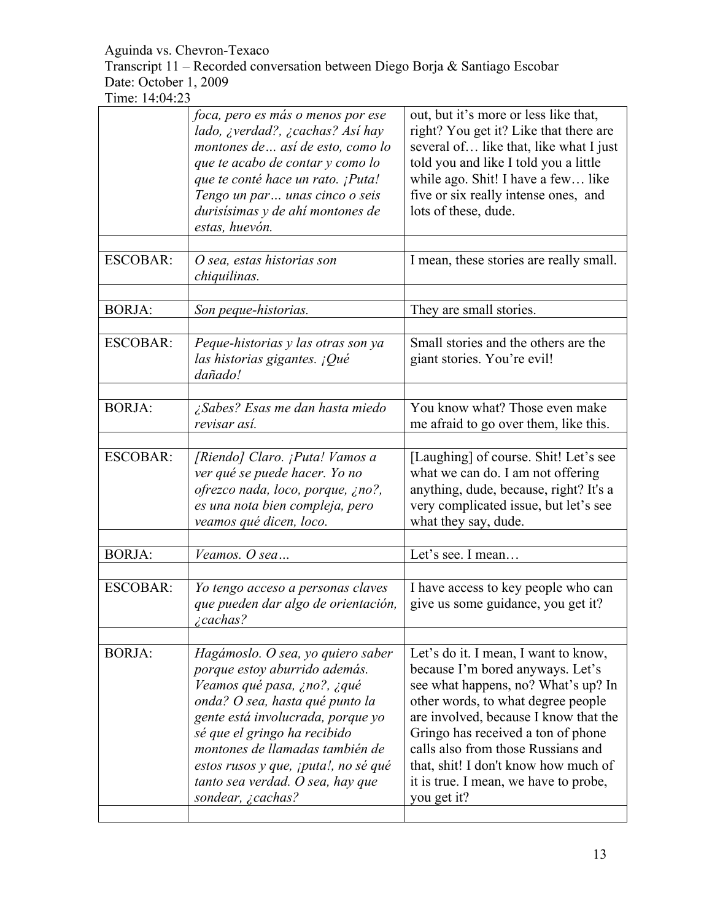Transcript 11 – Recorded conversation between Diego Borja & Santiago Escobar Date: October 1, 2009

|                 | foca, pero es más o menos por ese<br>lado, ¿verdad?, ¿cachas? Así hay<br>montones de  así de esto, como lo<br>que te acabo de contar y como lo<br>que te conté hace un rato. ¡Puta!<br>Tengo un par  unas cinco o seis<br>durisísimas y de ahí montones de<br>estas, huevón.                                                                  | out, but it's more or less like that,<br>right? You get it? Like that there are<br>several of like that, like what I just<br>told you and like I told you a little<br>while ago. Shit! I have a few like<br>five or six really intense ones, and<br>lots of these, dude.                                                                                                   |
|-----------------|-----------------------------------------------------------------------------------------------------------------------------------------------------------------------------------------------------------------------------------------------------------------------------------------------------------------------------------------------|----------------------------------------------------------------------------------------------------------------------------------------------------------------------------------------------------------------------------------------------------------------------------------------------------------------------------------------------------------------------------|
| <b>ESCOBAR:</b> | O sea, estas historias son<br>chiquilinas.                                                                                                                                                                                                                                                                                                    | I mean, these stories are really small.                                                                                                                                                                                                                                                                                                                                    |
| <b>BORJA:</b>   | Son peque-historias.                                                                                                                                                                                                                                                                                                                          | They are small stories.                                                                                                                                                                                                                                                                                                                                                    |
| <b>ESCOBAR:</b> | Peque-historias y las otras son ya<br>las historias gigantes. ¡Qué<br>dañado!                                                                                                                                                                                                                                                                 | Small stories and the others are the<br>giant stories. You're evil!                                                                                                                                                                                                                                                                                                        |
| <b>BORJA:</b>   | ¿Sabes? Esas me dan hasta miedo<br>revisar así.                                                                                                                                                                                                                                                                                               | You know what? Those even make<br>me afraid to go over them, like this.                                                                                                                                                                                                                                                                                                    |
| <b>ESCOBAR:</b> | [Riendo] Claro. ¡Puta! Vamos a<br>ver qué se puede hacer. Yo no<br>ofrezco nada, loco, porque, ¿no?,<br>es una nota bien compleja, pero<br>veamos qué dicen, loco.                                                                                                                                                                            | [Laughing] of course. Shit! Let's see<br>what we can do. I am not offering<br>anything, dude, because, right? It's a<br>very complicated issue, but let's see<br>what they say, dude.                                                                                                                                                                                      |
| <b>BORJA:</b>   | Veamos. O sea                                                                                                                                                                                                                                                                                                                                 | Let's see. I mean                                                                                                                                                                                                                                                                                                                                                          |
| <b>ESCOBAR:</b> | Yo tengo acceso a personas claves<br>que pueden dar algo de orientación,<br>$i$ cachas?                                                                                                                                                                                                                                                       | I have access to key people who can<br>give us some guidance, you get it?                                                                                                                                                                                                                                                                                                  |
| <b>BORJA:</b>   | Hagámoslo. O sea, yo quiero saber<br>porque estoy aburrido además.<br>Veamos qué pasa, ¿no?, ¿qué<br>onda? O sea, hasta qué punto la<br>gente está involucrada, porque yo<br>sé que el gringo ha recibido<br>montones de llamadas también de<br>estos rusos y que, ¡puta!, no sé qué<br>tanto sea verdad. O sea, hay que<br>sondear, ¿cachas? | Let's do it. I mean, I want to know,<br>because I'm bored anyways. Let's<br>see what happens, no? What's up? In<br>other words, to what degree people<br>are involved, because I know that the<br>Gringo has received a ton of phone<br>calls also from those Russians and<br>that, shit! I don't know how much of<br>it is true. I mean, we have to probe,<br>you get it? |